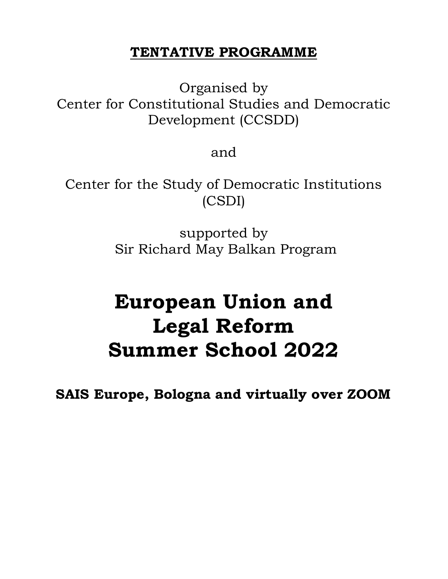# TENTATIVE PROGRAMME

Organised by Center for Constitutional Studies and Democratic Development (CCSDD)

and

Center for the Study of Democratic Institutions (CSDI)

> supported by Sir Richard May Balkan Program

# European Union and Legal Reform Summer School 2022

SAIS Europe, Bologna and virtually over ZOOM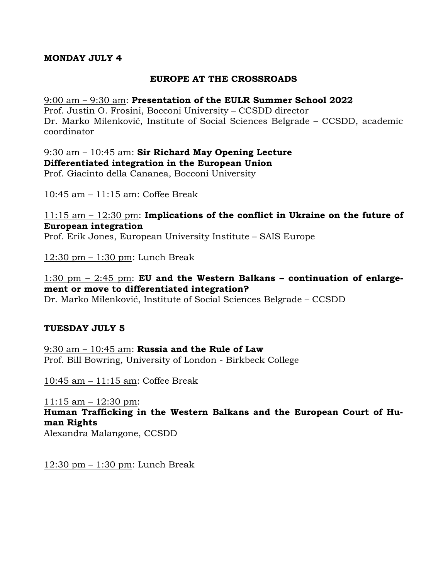## MONDAY JULY 4

## EUROPE AT THE CROSSROADS

#### 9:00 am – 9:30 am: Presentation of the EULR Summer School 2022

Prof. Justin O. Frosini, Bocconi University – CCSDD director Dr. Marko Milenković, Institute of Social Sciences Belgrade – CCSDD, academic coordinator

# 9:30 am – 10:45 am: Sir Richard May Opening Lecture Differentiated integration in the European Union

Prof. Giacinto della Cananea, Bocconi University

10:45 am – 11:15 am: Coffee Break

11:15 am – 12:30 pm: Implications of the conflict in Ukraine on the future of European integration

Prof. Erik Jones, European University Institute – SAIS Europe

12:30 pm – 1:30 pm: Lunch Break

# 1:30 pm  $-$  2:45 pm: EU and the Western Balkans – continuation of enlargement or move to differentiated integration?

Dr. Marko Milenković, Institute of Social Sciences Belgrade – CCSDD

#### TUESDAY JULY 5

9:30 am  $-10:45$  am: Russia and the Rule of Law Prof. Bill Bowring, University of London - Birkbeck College

10:45 am – 11:15 am: Coffee Break

11:15 am – 12:30 pm: Human Trafficking in the Western Balkans and the European Court of Human Rights Alexandra Malangone, CCSDD

 $12:30$  pm  $-1:30$  pm: Lunch Break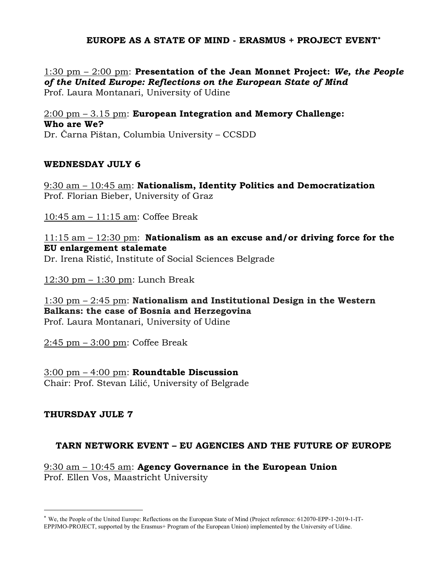# EUROPE AS A STATE OF MIND - ERASMUS + PROJECT EVENT

1:30 pm – 2:00 pm: Presentation of the Jean Monnet Project: We, the People of the United Europe: Reflections on the European State of Mind Prof. Laura Montanari, University of Udine

 $2:00$  pm  $-3.15$  pm: European Integration and Memory Challenge: Who are We? Dr. Čarna Pištan, Columbia University – CCSDD

#### WEDNESDAY JULY 6

9:30 am – 10:45 am: Nationalism, Identity Politics and Democratization Prof. Florian Bieber, University of Graz

10:45 am – 11:15 am: Coffee Break

11:15 am – 12:30 pm: Nationalism as an excuse and/or driving force for the EU enlargement stalemate Dr. Irena Ristić, Institute of Social Sciences Belgrade

12:30 pm – 1:30 pm: Lunch Break

1:30 pm – 2:45 pm: Nationalism and Institutional Design in the Western Balkans: the case of Bosnia and Herzegovina Prof. Laura Montanari, University of Udine

2:45 pm – 3:00 pm: Coffee Break

3:00 pm – 4:00 pm: Roundtable Discussion Chair: Prof. Stevan Lilić, University of Belgrade

# THURSDAY JULE 7

#### TARN NETWORK EVENT – EU AGENCIES AND THE FUTURE OF EUROPE

9:30 am – 10:45 am: Agency Governance in the European Union Prof. Ellen Vos, Maastricht University

We, the People of the United Europe: Reflections on the European State of Mind (Project reference: 612070-EPP-1-2019-1-IT-EPPJMO-PROJECT, supported by the Erasmus+ Program of the European Union) implemented by the University of Udine.